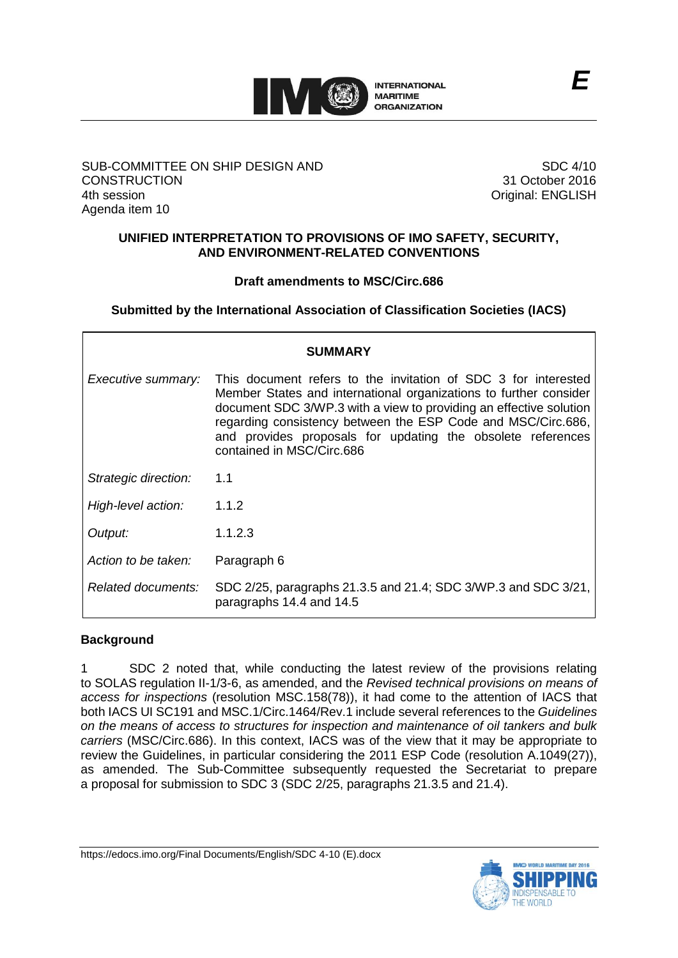

## SUB-COMMITTEE ON SHIP DESIGN AND **CONSTRUCTION** 4th session Agenda item 10

SDC 4/10 31 October 2016 Original: ENGLISH

## **UNIFIED INTERPRETATION TO PROVISIONS OF IMO SAFETY, SECURITY, AND ENVIRONMENT-RELATED CONVENTIONS**

## **Draft amendments to MSC/Circ.686**

**Submitted by the International Association of Classification Societies (IACS)**

| <b>SUMMARY</b>       |                                                                                                                                                                                                                                                                                                                                                                       |
|----------------------|-----------------------------------------------------------------------------------------------------------------------------------------------------------------------------------------------------------------------------------------------------------------------------------------------------------------------------------------------------------------------|
| Executive summary:   | This document refers to the invitation of SDC 3 for interested<br>Member States and international organizations to further consider<br>document SDC 3/WP.3 with a view to providing an effective solution<br>regarding consistency between the ESP Code and MSC/Circ.686,<br>and provides proposals for updating the obsolete references<br>contained in MSC/Circ.686 |
| Strategic direction: | 1.1                                                                                                                                                                                                                                                                                                                                                                   |
| High-level action:   | 1.1.2                                                                                                                                                                                                                                                                                                                                                                 |
| Output:              | 1.1.2.3                                                                                                                                                                                                                                                                                                                                                               |
| Action to be taken:  | Paragraph 6                                                                                                                                                                                                                                                                                                                                                           |
| Related documents:   | SDC 2/25, paragraphs 21.3.5 and 21.4; SDC 3/WP.3 and SDC 3/21,<br>paragraphs 14.4 and 14.5                                                                                                                                                                                                                                                                            |

## **Background**

1 SDC 2 noted that, while conducting the latest review of the provisions relating to SOLAS regulation II-1/3-6, as amended, and the *Revised technical provisions on means of access for inspections* (resolution MSC.158(78)), it had come to the attention of IACS that both IACS UI SC191 and MSC.1/Circ.1464/Rev.1 include several references to the *Guidelines on the means of access to structures for inspection and maintenance of oil tankers and bulk carriers* (MSC/Circ.686). In this context, IACS was of the view that it may be appropriate to review the Guidelines, in particular considering the 2011 ESP Code (resolution A.1049(27)), as amended. The Sub-Committee subsequently requested the Secretariat to prepare a proposal for submission to SDC 3 (SDC 2/25, paragraphs 21.3.5 and 21.4).

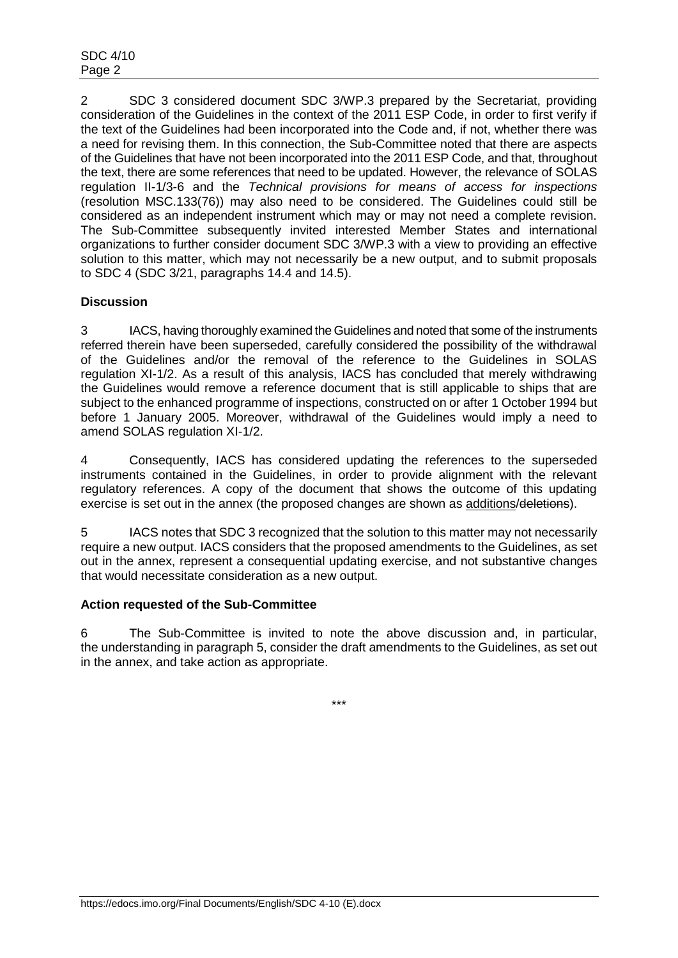2 SDC 3 considered document SDC 3/WP.3 prepared by the Secretariat, providing consideration of the Guidelines in the context of the 2011 ESP Code, in order to first verify if the text of the Guidelines had been incorporated into the Code and, if not, whether there was a need for revising them. In this connection, the Sub-Committee noted that there are aspects of the Guidelines that have not been incorporated into the 2011 ESP Code, and that, throughout the text, there are some references that need to be updated. However, the relevance of SOLAS regulation II-1/3-6 and the *Technical provisions for means of access for inspections* (resolution MSC.133(76)) may also need to be considered. The Guidelines could still be considered as an independent instrument which may or may not need a complete revision. The Sub-Committee subsequently invited interested Member States and international organizations to further consider document SDC 3/WP.3 with a view to providing an effective solution to this matter, which may not necessarily be a new output, and to submit proposals to SDC 4 (SDC 3/21, paragraphs 14.4 and 14.5).

# **Discussion**

3 IACS, having thoroughly examined the Guidelines and noted that some of the instruments referred therein have been superseded, carefully considered the possibility of the withdrawal of the Guidelines and/or the removal of the reference to the Guidelines in SOLAS regulation XI-1/2. As a result of this analysis, IACS has concluded that merely withdrawing the Guidelines would remove a reference document that is still applicable to ships that are subject to the enhanced programme of inspections, constructed on or after 1 October 1994 but before 1 January 2005. Moreover, withdrawal of the Guidelines would imply a need to amend SOLAS regulation XI-1/2.

4 Consequently, IACS has considered updating the references to the superseded instruments contained in the Guidelines, in order to provide alignment with the relevant regulatory references. A copy of the document that shows the outcome of this updating exercise is set out in the annex (the proposed changes are shown as additions/deletions).

5 IACS notes that SDC 3 recognized that the solution to this matter may not necessarily require a new output. IACS considers that the proposed amendments to the Guidelines, as set out in the annex, represent a consequential updating exercise, and not substantive changes that would necessitate consideration as a new output.

## **Action requested of the Sub-Committee**

6 The Sub-Committee is invited to note the above discussion and, in particular, the understanding in paragraph 5, consider the draft amendments to the Guidelines, as set out in the annex, and take action as appropriate.

\*\*\*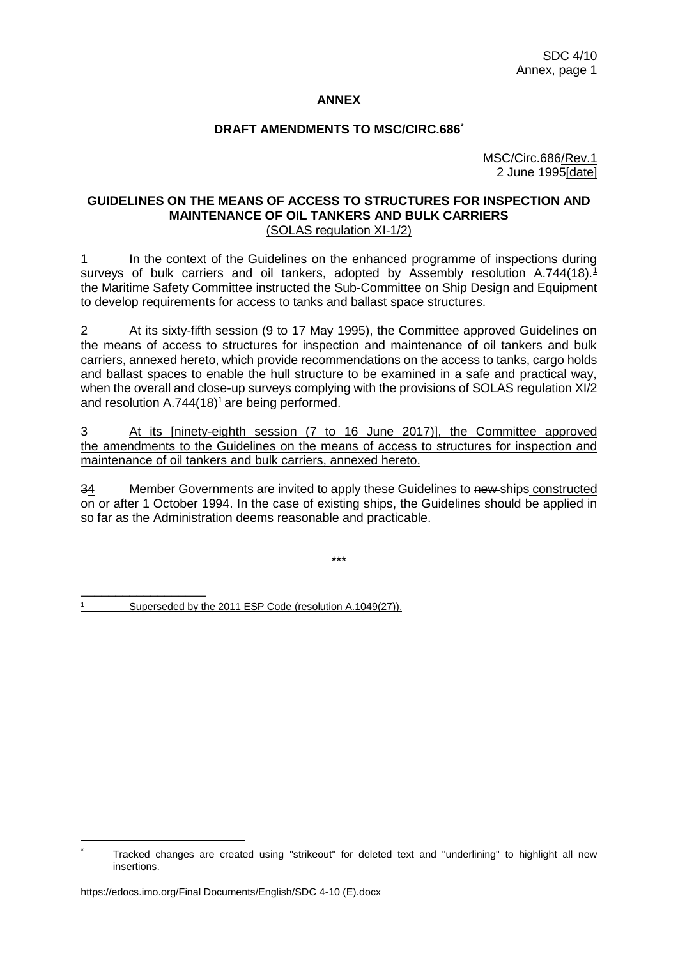## **ANNEX**

#### **DRAFT AMENDMENTS TO MSC/CIRC.686\***

MSC/Circ.686/Rev.1 2 June 1995[date]

#### **GUIDELINES ON THE MEANS OF ACCESS TO STRUCTURES FOR INSPECTION AND MAINTENANCE OF OIL TANKERS AND BULK CARRIERS** (SOLAS regulation XI-1/2)

1 In the context of the Guidelines on the enhanced programme of inspections during surveys of bulk carriers and oil tankers, adopted by Assembly resolution A.744(18). $1$ the Maritime Safety Committee instructed the Sub-Committee on Ship Design and Equipment to develop requirements for access to tanks and ballast space structures.

2 At its sixty-fifth session (9 to 17 May 1995), the Committee approved Guidelines on the means of access to structures for inspection and maintenance of oil tankers and bulk carriers<del>, annexed hereto,</del> which provide recommendations on the access to tanks, cargo holds and ballast spaces to enable the hull structure to be examined in a safe and practical way, when the overall and close-up surveys complying with the provisions of SOLAS regulation XI/2 and resolution  $A.744(18)<sup>1</sup>$  are being performed.

3 At its [ninety-eighth session (7 to 16 June 2017)], the Committee approved the amendments to the Guidelines on the means of access to structures for inspection and maintenance of oil tankers and bulk carriers, annexed hereto.

34 Member Governments are invited to apply these Guidelines to new ships constructed on or after 1 October 1994. In the case of existing ships, the Guidelines should be applied in so far as the Administration deems reasonable and practicable.

\*\*\*

Superseded by the 2011 ESP Code (resolution A.1049(27)).

\_\_\_\_\_\_\_\_\_\_\_\_\_\_\_\_\_\_

Tracked changes are created using "strikeout" for deleted text and "underlining" to highlight all new insertions.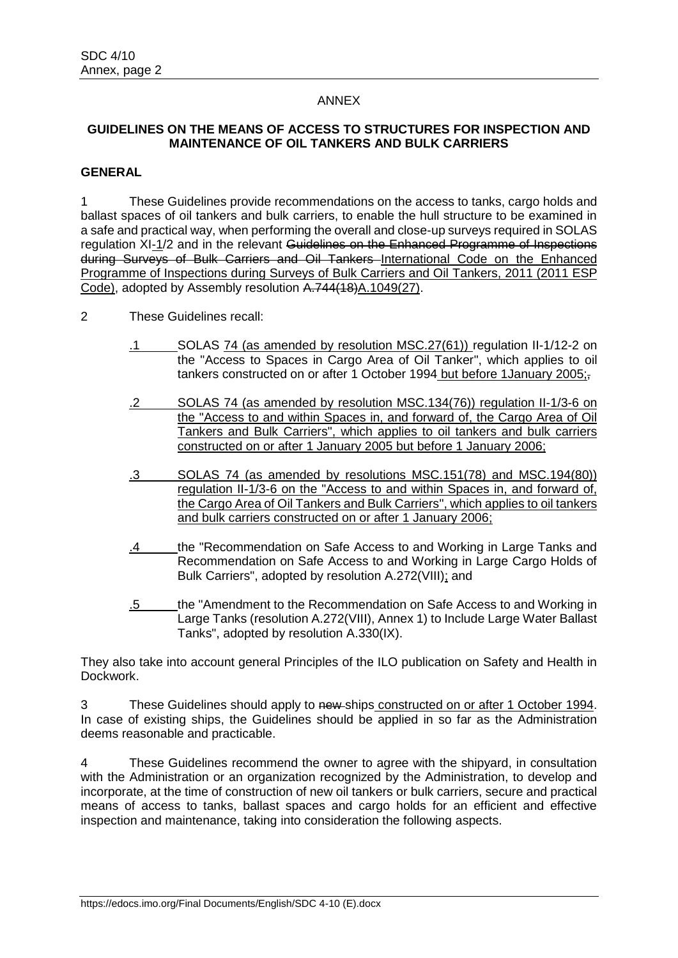### ANNEX

## **GUIDELINES ON THE MEANS OF ACCESS TO STRUCTURES FOR INSPECTION AND MAINTENANCE OF OIL TANKERS AND BULK CARRIERS**

### **GENERAL**

1 These Guidelines provide recommendations on the access to tanks, cargo holds and ballast spaces of oil tankers and bulk carriers, to enable the hull structure to be examined in a safe and practical way, when performing the overall and close-up surveys required in SOLAS regulation XI-1/2 and in the relevant Guidelines on the Enhanced Programme of Inspections during Surveys of Bulk Carriers and Oil Tankers International Code on the Enhanced Programme of Inspections during Surveys of Bulk Carriers and Oil Tankers, 2011 (2011 ESP Code), adopted by Assembly resolution A.744(18)A.1049(27).

- 2 These Guidelines recall:
	- .1 SOLAS 74 (as amended by resolution MSC.27(61)) regulation II-1/12-2 on the "Access to Spaces in Cargo Area of Oil Tanker", which applies to oil tankers constructed on or after 1 October 1994 but before 1January 2005;,
	- .2 SOLAS 74 (as amended by resolution MSC.134(76)) regulation II-1/3-6 on the "Access to and within Spaces in, and forward of, the Cargo Area of Oil Tankers and Bulk Carriers", which applies to oil tankers and bulk carriers constructed on or after 1 January 2005 but before 1 January 2006;
	- .3 SOLAS 74 (as amended by resolutions MSC.151(78) and MSC.194(80)) regulation II-1/3-6 on the "Access to and within Spaces in, and forward of, the Cargo Area of Oil Tankers and Bulk Carriers", which applies to oil tankers and bulk carriers constructed on or after 1 January 2006;
	- .4 the "Recommendation on Safe Access to and Working in Large Tanks and Recommendation on Safe Access to and Working in Large Cargo Holds of Bulk Carriers", adopted by resolution A.272(VIII); and
	- .5 the "Amendment to the Recommendation on Safe Access to and Working in Large Tanks (resolution A.272(VIII), Annex 1) to Include Large Water Ballast Tanks", adopted by resolution A.330(IX).

They also take into account general Principles of the ILO publication on Safety and Health in Dockwork.

3 These Guidelines should apply to new ships constructed on or after 1 October 1994. In case of existing ships, the Guidelines should be applied in so far as the Administration deems reasonable and practicable.

4 These Guidelines recommend the owner to agree with the shipyard, in consultation with the Administration or an organization recognized by the Administration, to develop and incorporate, at the time of construction of new oil tankers or bulk carriers, secure and practical means of access to tanks, ballast spaces and cargo holds for an efficient and effective inspection and maintenance, taking into consideration the following aspects.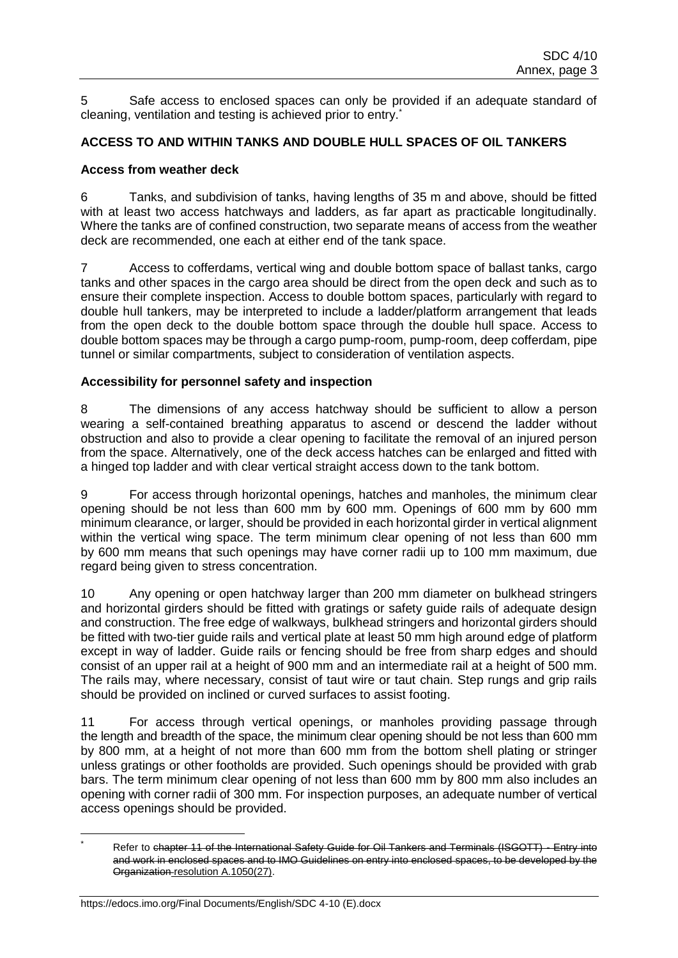5 Safe access to enclosed spaces can only be provided if an adequate standard of cleaning, ventilation and testing is achieved prior to entry.<sup>\*</sup>

# **ACCESS TO AND WITHIN TANKS AND DOUBLE HULL SPACES OF OIL TANKERS**

## **Access from weather deck**

6 Tanks, and subdivision of tanks, having lengths of 35 m and above, should be fitted with at least two access hatchways and ladders, as far apart as practicable longitudinally. Where the tanks are of confined construction, two separate means of access from the weather deck are recommended, one each at either end of the tank space.

7 Access to cofferdams, vertical wing and double bottom space of ballast tanks, cargo tanks and other spaces in the cargo area should be direct from the open deck and such as to ensure their complete inspection. Access to double bottom spaces, particularly with regard to double hull tankers, may be interpreted to include a ladder/platform arrangement that leads from the open deck to the double bottom space through the double hull space. Access to double bottom spaces may be through a cargo pump-room, pump-room, deep cofferdam, pipe tunnel or similar compartments, subject to consideration of ventilation aspects.

## **Accessibility for personnel safety and inspection**

8 The dimensions of any access hatchway should be sufficient to allow a person wearing a self-contained breathing apparatus to ascend or descend the ladder without obstruction and also to provide a clear opening to facilitate the removal of an injured person from the space. Alternatively, one of the deck access hatches can be enlarged and fitted with a hinged top ladder and with clear vertical straight access down to the tank bottom.

9 For access through horizontal openings, hatches and manholes, the minimum clear opening should be not less than 600 mm by 600 mm. Openings of 600 mm by 600 mm minimum clearance, or larger, should be provided in each horizontal girder in vertical alignment within the vertical wing space. The term minimum clear opening of not less than 600 mm by 600 mm means that such openings may have corner radii up to 100 mm maximum, due regard being given to stress concentration.

10 Any opening or open hatchway larger than 200 mm diameter on bulkhead stringers and horizontal girders should be fitted with gratings or safety guide rails of adequate design and construction. The free edge of walkways, bulkhead stringers and horizontal girders should be fitted with two-tier guide rails and vertical plate at least 50 mm high around edge of platform except in way of ladder. Guide rails or fencing should be free from sharp edges and should consist of an upper rail at a height of 900 mm and an intermediate rail at a height of 500 mm. The rails may, where necessary, consist of taut wire or taut chain. Step rungs and grip rails should be provided on inclined or curved surfaces to assist footing.

11 For access through vertical openings, or manholes providing passage through the length and breadth of the space, the minimum clear opening should be not less than 600 mm by 800 mm, at a height of not more than 600 mm from the bottom shell plating or stringer unless gratings or other footholds are provided. Such openings should be provided with grab bars. The term minimum clear opening of not less than 600 mm by 800 mm also includes an opening with corner radii of 300 mm. For inspection purposes, an adequate number of vertical access openings should be provided.

 $\overline{a}$ 

Refer to chapter 11 of the International Safety Guide for Oil Tankers and Terminals (ISGOTT) - Entry into and work in enclosed spaces and to IMO Guidelines on entry into enclosed spaces, to be developed by the Organization resolution A.1050(27).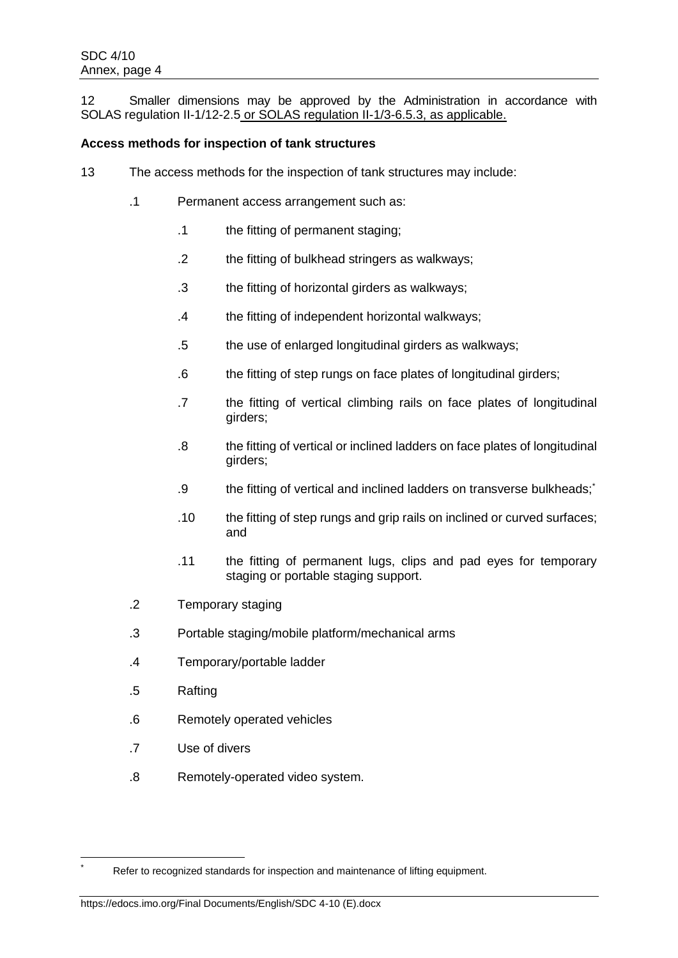12 Smaller dimensions may be approved by the Administration in accordance with SOLAS regulation II-1/12-2.5 or SOLAS regulation II-1/3-6.5.3, as applicable.

## **Access methods for inspection of tank structures**

- 13 The access methods for the inspection of tank structures may include:
	- .1 Permanent access arrangement such as:
		- .1 the fitting of permanent staging;
		- .2 the fitting of bulkhead stringers as walkways;
		- .3 the fitting of horizontal girders as walkways;
		- .4 the fitting of independent horizontal walkways;
		- .5 the use of enlarged longitudinal girders as walkways;
		- .6 the fitting of step rungs on face plates of longitudinal girders;
		- .7 the fitting of vertical climbing rails on face plates of longitudinal girders;
		- .8 the fitting of vertical or inclined ladders on face plates of longitudinal girders;
		- .9 the fitting of vertical and inclined ladders on transverse bulkheads;\*
		- .10 the fitting of step rungs and grip rails on inclined or curved surfaces; and
		- .11 the fitting of permanent lugs, clips and pad eyes for temporary staging or portable staging support.
	- .2 Temporary staging
	- .3 Portable staging/mobile platform/mechanical arms
	- .4 Temporary/portable ladder
	- .5 Rafting

 $\overline{a}$ 

- .6 Remotely operated vehicles
- .7 Use of divers
- .8 Remotely-operated video system.

Refer to recognized standards for inspection and maintenance of lifting equipment.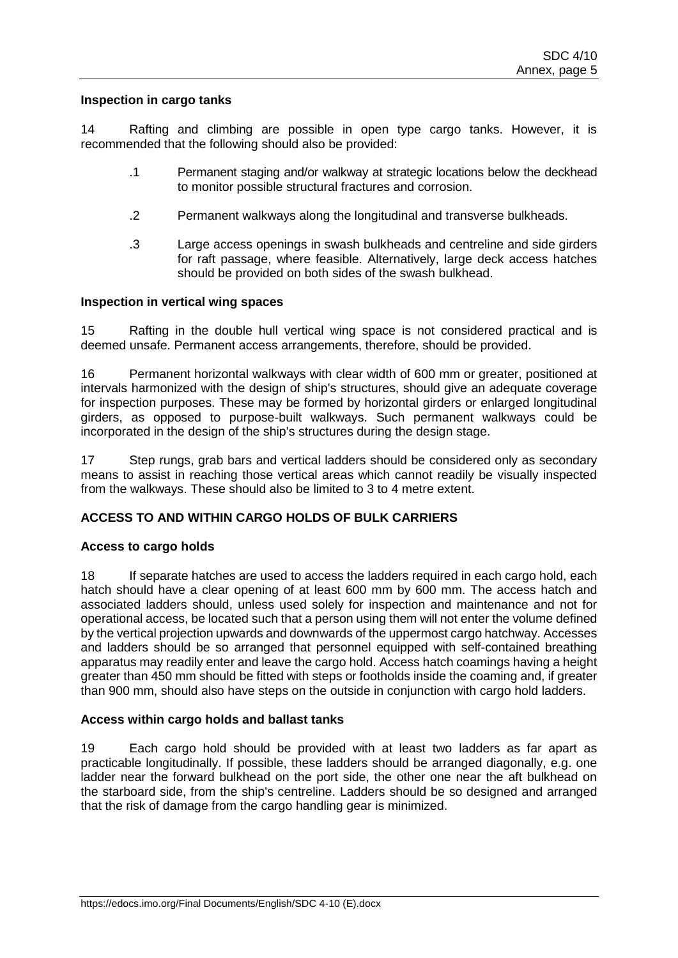#### **Inspection in cargo tanks**

14 Rafting and climbing are possible in open type cargo tanks. However, it is recommended that the following should also be provided:

- .1 Permanent staging and/or walkway at strategic locations below the deckhead to monitor possible structural fractures and corrosion.
- .2 Permanent walkways along the longitudinal and transverse bulkheads.
- .3 Large access openings in swash bulkheads and centreline and side girders for raft passage, where feasible. Alternatively, large deck access hatches should be provided on both sides of the swash bulkhead.

#### **Inspection in vertical wing spaces**

15 Rafting in the double hull vertical wing space is not considered practical and is deemed unsafe. Permanent access arrangements, therefore, should be provided.

16 Permanent horizontal walkways with clear width of 600 mm or greater, positioned at intervals harmonized with the design of ship's structures, should give an adequate coverage for inspection purposes. These may be formed by horizontal girders or enlarged longitudinal girders, as opposed to purpose-built walkways. Such permanent walkways could be incorporated in the design of the ship's structures during the design stage.

17 Step rungs, grab bars and vertical ladders should be considered only as secondary means to assist in reaching those vertical areas which cannot readily be visually inspected from the walkways. These should also be limited to 3 to 4 metre extent.

## **ACCESS TO AND WITHIN CARGO HOLDS OF BULK CARRIERS**

## **Access to cargo holds**

18 If separate hatches are used to access the ladders required in each cargo hold, each hatch should have a clear opening of at least 600 mm by 600 mm. The access hatch and associated ladders should, unless used solely for inspection and maintenance and not for operational access, be located such that a person using them will not enter the volume defined by the vertical projection upwards and downwards of the uppermost cargo hatchway. Accesses and ladders should be so arranged that personnel equipped with self-contained breathing apparatus may readily enter and leave the cargo hold. Access hatch coamings having a height greater than 450 mm should be fitted with steps or footholds inside the coaming and, if greater than 900 mm, should also have steps on the outside in conjunction with cargo hold ladders.

## **Access within cargo holds and ballast tanks**

19 Each cargo hold should be provided with at least two ladders as far apart as practicable longitudinally. If possible, these ladders should be arranged diagonally, e.g. one ladder near the forward bulkhead on the port side, the other one near the aft bulkhead on the starboard side, from the ship's centreline. Ladders should be so designed and arranged that the risk of damage from the cargo handling gear is minimized.